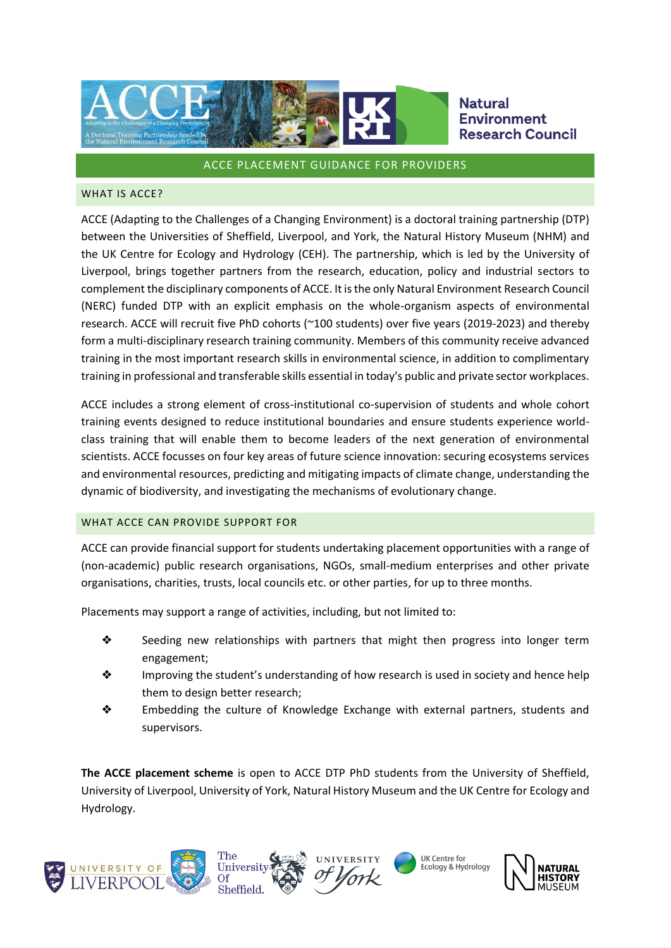

#### ACCE PLACEMENT GUIDANCE FOR PROVIDERS

#### WHAT IS ACCE?

ACCE (Adapting to the Challenges of a Changing Environment) is a doctoral training partnership (DTP) between the Universities of Sheffield, Liverpool, and York, the Natural History Museum (NHM) and the UK Centre for Ecology and Hydrology (CEH). The partnership, which is led by the University of Liverpool, brings together partners from the research, education, policy and industrial sectors to complement the disciplinary components of ACCE. It is the only Natural Environment Research Council (NERC) funded DTP with an explicit emphasis on the whole-organism aspects of environmental research. ACCE will recruit five PhD cohorts (~100 students) over five years (2019-2023) and thereby form a multi-disciplinary research training community. Members of this community receive advanced training in the most important research skills in environmental science, in addition to complimentary training in professional and transferable skills essential in today's public and private sector workplaces.

ACCE includes a strong element of cross-institutional co-supervision of students and whole cohort training events designed to reduce institutional boundaries and ensure students experience worldclass training that will enable them to become leaders of the next generation of environmental scientists. ACCE focusses on four key areas of future science innovation: securing ecosystems services and environmental resources, predicting and mitigating impacts of climate change, understanding the dynamic of biodiversity, and investigating the mechanisms of evolutionary change.

### WHAT ACCE CAN PROVIDE SUPPORT FOR

ACCE can provide financial support for students undertaking placement opportunities with a range of (non-academic) public research organisations, NGOs, small-medium enterprises and other private organisations, charities, trusts, local councils etc. or other parties, for up to three months.

Placements may support a range of activities, including, but not limited to:

- ❖ Seeding new relationships with partners that might then progress into longer term engagement;
- ❖ Improving the student's understanding of how research is used in society and hence help them to design better research;
- ❖ Embedding the culture of Knowledge Exchange with external partners, students and supervisors.

**The ACCE placement scheme** is open to ACCE DTP PhD students from the University of Sheffield, University of Liverpool, University of York, Natural History Museum and the UK Centre for Ecology and Hydrology.



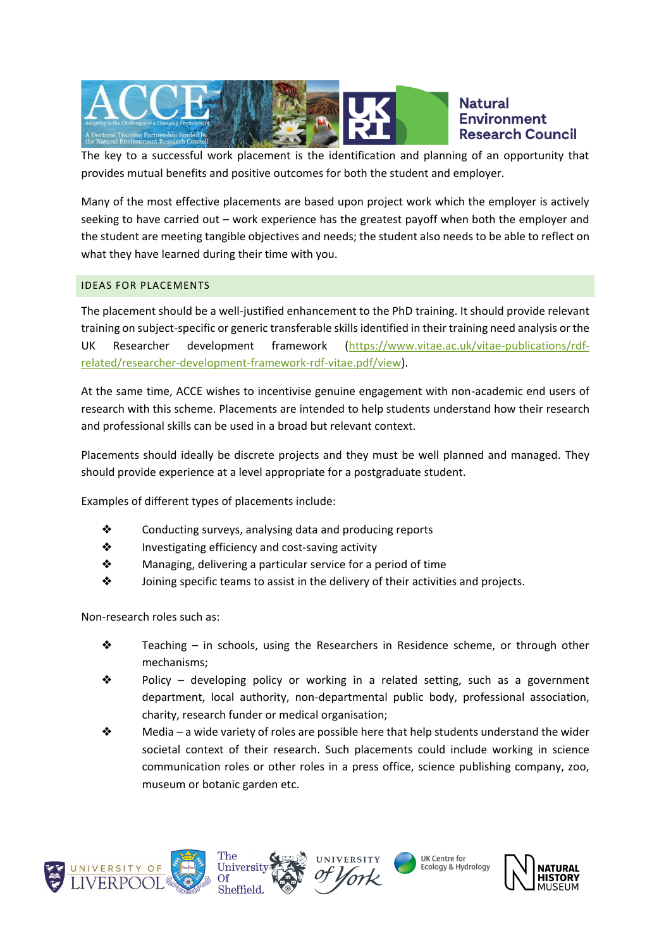

The key to a successful work placement is the identification and planning of an opportunity that provides mutual benefits and positive outcomes for both the student and employer.

Many of the most effective placements are based upon project work which the employer is actively seeking to have carried out – work experience has the greatest payoff when both the employer and the student are meeting tangible objectives and needs; the student also needs to be able to reflect on what they have learned during their time with you.

# IDEAS FOR PLACEMENTS

The placement should be a well-justified enhancement to the PhD training. It should provide relevant training on subject-specific or generic transferable skills identified in their training need analysis or the UK Researcher development framework [\(https://www.vitae.ac.uk/vitae-publications/rdf](https://www.vitae.ac.uk/vitae-publications/rdf-related/researcher-development-framework-rdf-vitae.pdf/view)[related/researcher-development-framework-rdf-vitae.pdf/view\)](https://www.vitae.ac.uk/vitae-publications/rdf-related/researcher-development-framework-rdf-vitae.pdf/view).

At the same time, ACCE wishes to incentivise genuine engagement with non-academic end users of research with this scheme. Placements are intended to help students understand how their research and professional skills can be used in a broad but relevant context.

Placements should ideally be discrete projects and they must be well planned and managed. They should provide experience at a level appropriate for a postgraduate student.

Examples of different types of placements include:

- ❖ Conducting surveys, analysing data and producing reports
- ❖ Investigating efficiency and cost-saving activity
- ❖ Managing, delivering a particular service for a period of time
- ❖ Joining specific teams to assist in the delivery of their activities and projects.

Non-research roles such as:

- $\triangle$  Teaching in schools, using the Researchers in Residence scheme, or through other mechanisms;
- ❖ Policy developing policy or working in a related setting, such as a government department, local authority, non-departmental public body, professional association, charity, research funder or medical organisation;
- $\diamond$  Media a wide variety of roles are possible here that help students understand the wider societal context of their research. Such placements could include working in science communication roles or other roles in a press office, science publishing company, zoo, museum or botanic garden etc.









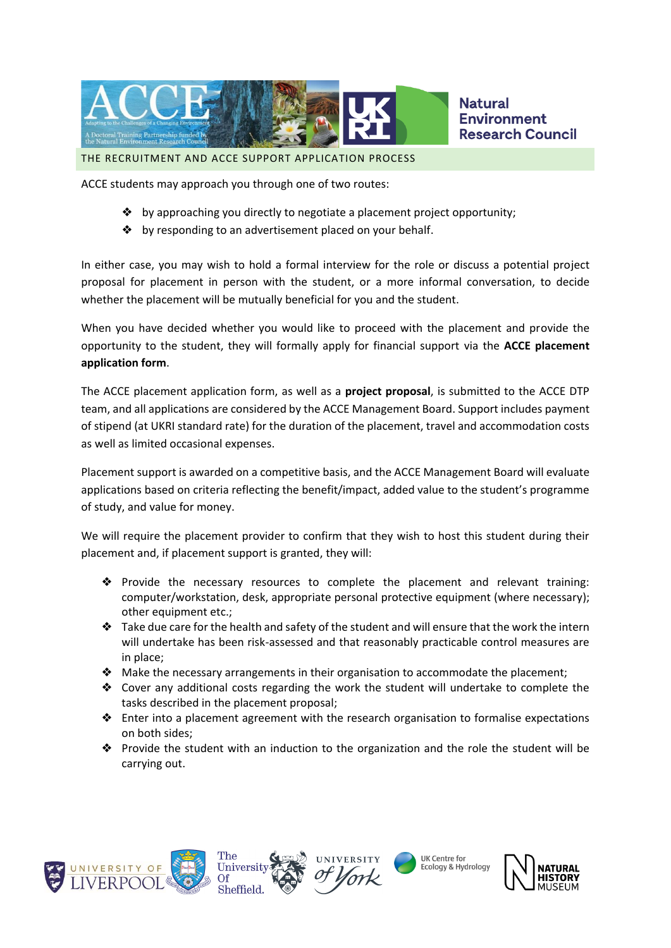

THE RECRUITMENT AND ACCE SUPPORT APPLICATION PROCESS

ACCE students may approach you through one of two routes:

- ❖ by approaching you directly to negotiate a placement project opportunity;
- ❖ by responding to an advertisement placed on your behalf.

In either case, you may wish to hold a formal interview for the role or discuss a potential project proposal for placement in person with the student, or a more informal conversation, to decide whether the placement will be mutually beneficial for you and the student.

When you have decided whether you would like to proceed with the placement and provide the opportunity to the student, they will formally apply for financial support via the **ACCE placement application form**.

The ACCE placement application form, as well as a **project proposal**, is submitted to the ACCE DTP team, and all applications are considered by the ACCE Management Board. Support includes payment of stipend (at UKRI standard rate) for the duration of the placement, travel and accommodation costs as well as limited occasional expenses.

Placement support is awarded on a competitive basis, and the ACCE Management Board will evaluate applications based on criteria reflecting the benefit/impact, added value to the student's programme of study, and value for money.

We will require the placement provider to confirm that they wish to host this student during their placement and, if placement support is granted, they will:

- ❖ Provide the necessary resources to complete the placement and relevant training: computer/workstation, desk, appropriate personal protective equipment (where necessary); other equipment etc.;
- $\triangle$  Take due care for the health and safety of the student and will ensure that the work the intern will undertake has been risk-assessed and that reasonably practicable control measures are in place;
- ❖ Make the necessary arrangements in their organisation to accommodate the placement;
- ❖ Cover any additional costs regarding the work the student will undertake to complete the tasks described in the placement proposal;
- ❖ Enter into a placement agreement with the research organisation to formalise expectations on both sides;
- ❖ Provide the student with an induction to the organization and the role the student will be carrying out.









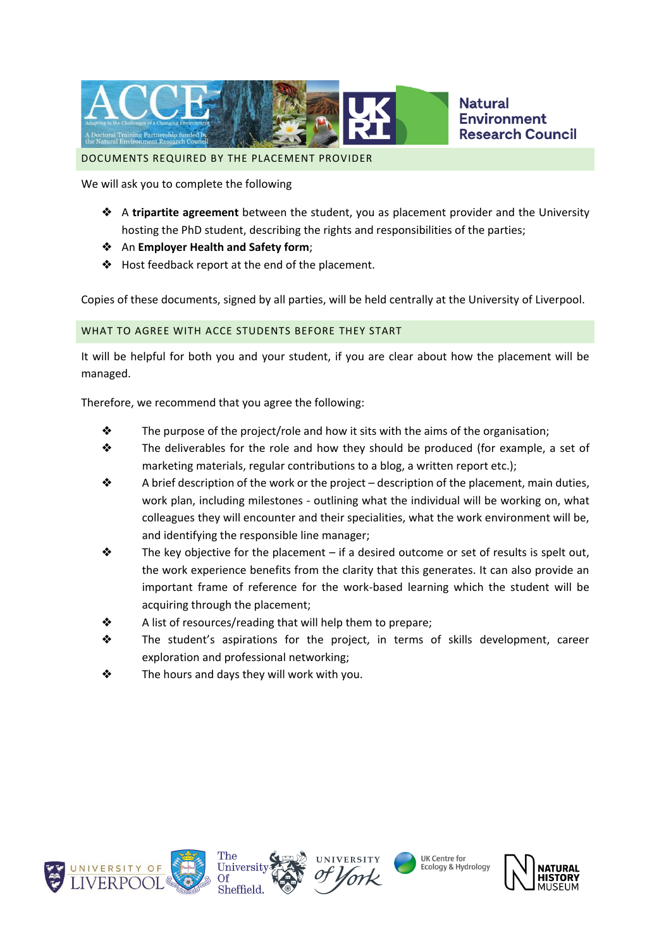

DOCUMENTS REQUIRED BY THE PLACEMENT PROVIDER

We will ask you to complete the following

- ❖ A **tripartite agreement** between the student, you as placement provider and the University hosting the PhD student, describing the rights and responsibilities of the parties;
- ❖ An **Employer Health and Safety form**;
- ❖ Host feedback report at the end of the placement.

Copies of these documents, signed by all parties, will be held centrally at the University of Liverpool.

#### WHAT TO AGREE WITH ACCE STUDENTS BEFORE THEY START

It will be helpful for both you and your student, if you are clear about how the placement will be managed.

Therefore, we recommend that you agree the following:

- $\triangleleft$  The purpose of the project/role and how it sits with the aims of the organisation;
- ❖ The deliverables for the role and how they should be produced (for example, a set of marketing materials, regular contributions to a blog, a written report etc.);
- $\triangleleft$  A brief description of the work or the project description of the placement, main duties, work plan, including milestones - outlining what the individual will be working on, what colleagues they will encounter and their specialities, what the work environment will be, and identifying the responsible line manager;
- $\triangle$  The key objective for the placement if a desired outcome or set of results is spelt out, the work experience benefits from the clarity that this generates. It can also provide an important frame of reference for the work-based learning which the student will be acquiring through the placement;
- $\triangle$  A list of resources/reading that will help them to prepare;
- ❖ The student's aspirations for the project, in terms of skills development, career exploration and professional networking;
- ❖ The hours and days they will work with you.







UK Centre for **Ecology & Hydrology** 

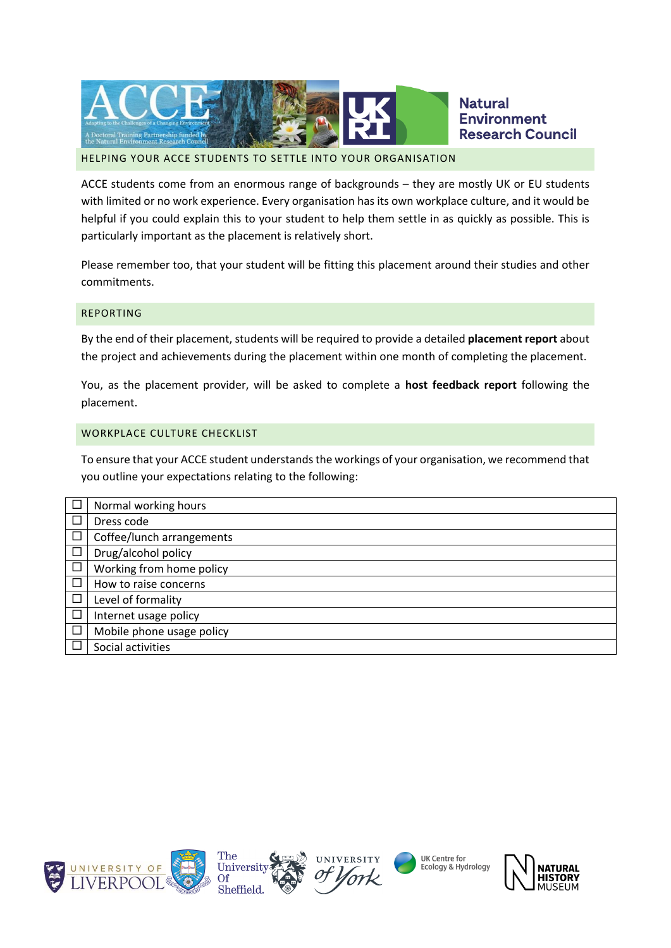

### HELPING YOUR ACCE STUDENTS TO SETTLE INTO YOUR ORGANISATION

ACCE students come from an enormous range of backgrounds – they are mostly UK or EU students with limited or no work experience. Every organisation has its own workplace culture, and it would be helpful if you could explain this to your student to help them settle in as quickly as possible. This is particularly important as the placement is relatively short.

Please remember too, that your student will be fitting this placement around their studies and other commitments.

#### REPORTING

By the end of their placement, students will be required to provide a detailed **placement report** about the project and achievements during the placement within one month of completing the placement.

You, as the placement provider, will be asked to complete a **host feedback report** following the placement.

#### WORKPLACE CULTURE CHECKLIST

To ensure that your ACCE student understands the workings of your organisation, we recommend that you outline your expectations relating to the following:

| Normal working hours      |
|---------------------------|
| Dress code                |
| Coffee/lunch arrangements |
| Drug/alcohol policy       |
| Working from home policy  |
| How to raise concerns     |
| Level of formality        |
| Internet usage policy     |
| Mobile phone usage policy |
| Social activities         |